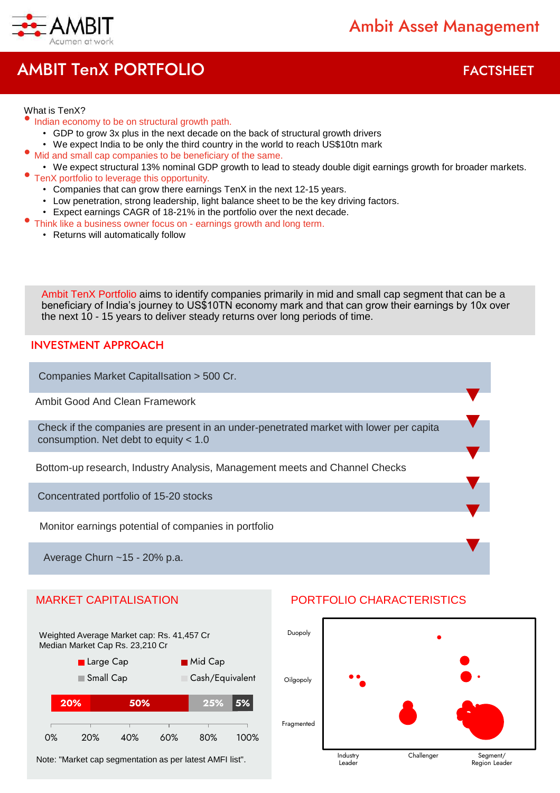

# AMBIT TenX PORTFOLIO **FACTSHEET**

 $\overline{\phantom{a}}$ 

#### What is TenX?

- Indian economy to be on structural growth path.
	- GDP to grow 3x plus in the next decade on the back of structural growth drivers
- We expect India to be only the third country in the world to reach US\$10tn mark
- Mid and small cap companies to be beneficiary of the same.
- We expect structural 13% nominal GDP growth to lead to steady double digit earnings growth for broader markets.
- TenX portfolio to leverage this opportunity.
	- Companies that can grow there earnings TenX in the next 12-15 years.
	- Low penetration, strong leadership, light balance sheet to be the key driving factors.
	- Expect earnings CAGR of 18-21% in the portfolio over the next decade.
- Think like a business owner focus on earnings growth and long term.
	- Returns will automatically follow

Ambit TenX Portfolio aims to identify companies primarily in mid and small cap segment that can be a beneficiary of India's journey to US\$10TN economy mark and that can grow their earnings by 10x over the next 10 - 15 years to deliver steady returns over long periods of time.

#### INVESTMENT APPROACH

Companies Market CapitalIsation > 500 Cr.

Ambit Good And Clean Framework

Check if the companies are present in an under-penetrated market with lower per capita consumption. Net debt to equity < 1.0

Bottom-up research, Industry Analysis, Management meets and Channel Checks

Concentrated portfolio of 15-20 stocks

Monitor earnings potential of companies in portfolio

Average Churn ~15 - 20% p.a.



Note: "Market cap segmentation as per latest AMFI list".



### MARKET CAPITALISATION PORTFOLIO CHARACTERISTICS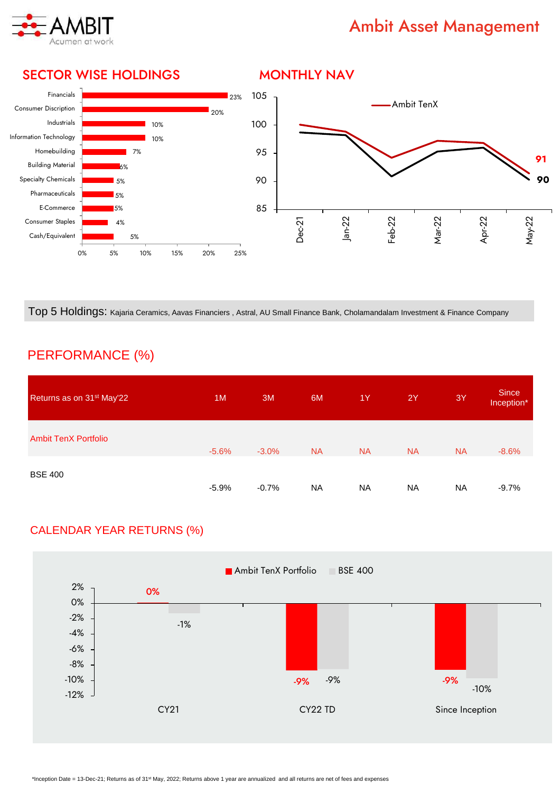

## Ambit Asset Management

#### 23% 20% 10% 10% 7% 6% 5% 5% 5% 4% 5% Financials Consumer Discription Industrials Information Technology Homebuilding Building Material Specialty Chemicals Pharmaceuticals E-Commerce Consumer Staples Cash/Equivalent **91 90** 85 90 95 100 105 Dec-21 Jan-22 Feb-22 Mar-22 Apr-22 May-22 Ambit TenX

Top 5 Holdings: Kajaria Ceramics, Aavas Financiers , Astral, AU Small Finance Bank, Cholamandalam Investment & Finance Company

## PERFORMANCE (%)

| Returns as on 31 <sup>st</sup> May'22 | 1M      | 3M       | 6M        | 1Y        | 2Y        | 3Y        | <b>Since</b><br>Inception* |
|---------------------------------------|---------|----------|-----------|-----------|-----------|-----------|----------------------------|
| <b>Ambit TenX Portfolio</b>           | $-5.6%$ | $-3.0\%$ | <b>NA</b> | <b>NA</b> | <b>NA</b> | <b>NA</b> | $-8.6%$                    |
| <b>BSE 400</b>                        | $-5.9%$ | $-0.7%$  | <b>NA</b> | <b>NA</b> | <b>NA</b> | <b>NA</b> | $-9.7%$                    |

### CALENDAR YEAR RETURNS (%)



#### SECTOR WISE HOLDINGS

0% 5% 10% 15% 20% 25%

#### MONTHLY NAV